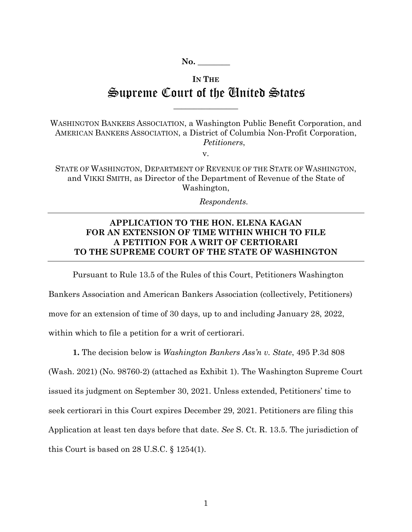## **IN THE** Supreme Court of the United States

 $\overline{\phantom{a}}$  , where  $\overline{\phantom{a}}$ 

WASHINGTON BANKERS ASSOCIATION, a Washington Public Benefit Corporation, and AMERICAN BANKERS ASSOCIATION, a District of Columbia Non-Profit Corporation,  *Petitioners*,

v.

STATE OF WASHINGTON, DEPARTMENT OF REVENUE OF THE STATE OF WASHINGTON, and VIKKI SMITH, as Director of the Department of Revenue of the State of Washington,

 *Respondents.* 

## **APPLICATION TO THE HON. ELENA KAGAN FOR AN EXTENSION OF TIME WITHIN WHICH TO FILE A PETITION FOR A WRIT OF CERTIORARI TO THE SUPREME COURT OF THE STATE OF WASHINGTON**

Pursuant to Rule 13.5 of the Rules of this Court, Petitioners Washington Bankers Association and American Bankers Association (collectively, Petitioners) move for an extension of time of 30 days, up to and including January 28, 2022, within which to file a petition for a writ of certiorari.

**1.** The decision below is *Washington Bankers Ass'n v. State*, 495 P.3d 808 (Wash. 2021) (No. 98760-2) (attached as Exhibit 1). The Washington Supreme Court issued its judgment on September 30, 2021. Unless extended, Petitioners' time to seek certiorari in this Court expires December 29, 2021. Petitioners are filing this Application at least ten days before that date. *See* S. Ct. R. 13.5. The jurisdiction of this Court is based on 28 U.S.C. § 1254(1).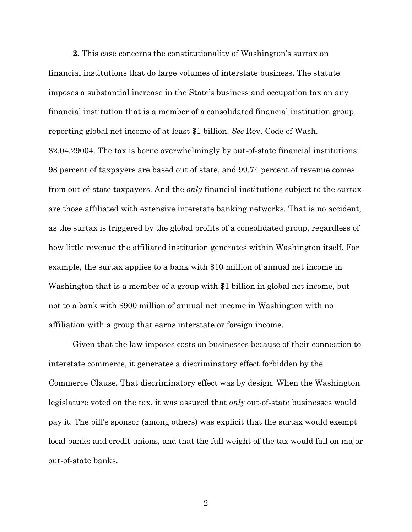**2.** This case concerns the constitutionality of Washington's surtax on financial institutions that do large volumes of interstate business. The statute imposes a substantial increase in the State's business and occupation tax on any financial institution that is a member of a consolidated financial institution group reporting global net income of at least \$1 billion. *See* Rev. Code of Wash. 82.04.29004. The tax is borne overwhelmingly by out-of-state financial institutions: 98 percent of taxpayers are based out of state, and 99.74 percent of revenue comes from out-of-state taxpayers. And the *only* financial institutions subject to the surtax are those affiliated with extensive interstate banking networks. That is no accident, as the surtax is triggered by the global profits of a consolidated group, regardless of how little revenue the affiliated institution generates within Washington itself. For example, the surtax applies to a bank with \$10 million of annual net income in Washington that is a member of a group with \$1 billion in global net income, but not to a bank with \$900 million of annual net income in Washington with no affiliation with a group that earns interstate or foreign income.

Given that the law imposes costs on businesses because of their connection to interstate commerce, it generates a discriminatory effect forbidden by the Commerce Clause. That discriminatory effect was by design. When the Washington legislature voted on the tax, it was assured that *only* out-of-state businesses would pay it. The bill's sponsor (among others) was explicit that the surtax would exempt local banks and credit unions, and that the full weight of the tax would fall on major out-of-state banks.

2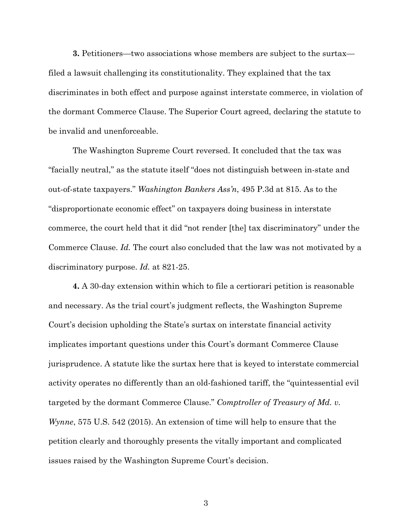**3.** Petitioners—two associations whose members are subject to the surtax filed a lawsuit challenging its constitutionality. They explained that the tax discriminates in both effect and purpose against interstate commerce, in violation of the dormant Commerce Clause. The Superior Court agreed, declaring the statute to be invalid and unenforceable.

The Washington Supreme Court reversed. It concluded that the tax was "facially neutral," as the statute itself "does not distinguish between in-state and out-of-state taxpayers." *Washington Bankers Ass'n*, 495 P.3d at 815. As to the "disproportionate economic effect" on taxpayers doing business in interstate commerce, the court held that it did "not render [the] tax discriminatory" under the Commerce Clause. *Id.* The court also concluded that the law was not motivated by a discriminatory purpose. *Id.* at 821-25.

**4.** A 30-day extension within which to file a certiorari petition is reasonable and necessary. As the trial court's judgment reflects, the Washington Supreme Court's decision upholding the State's surtax on interstate financial activity implicates important questions under this Court's dormant Commerce Clause jurisprudence. A statute like the surtax here that is keyed to interstate commercial activity operates no differently than an old-fashioned tariff, the "quintessential evil targeted by the dormant Commerce Clause." *Comptroller of Treasury of Md. v. Wynne*, 575 U.S. 542 (2015). An extension of time will help to ensure that the petition clearly and thoroughly presents the vitally important and complicated issues raised by the Washington Supreme Court's decision.

3